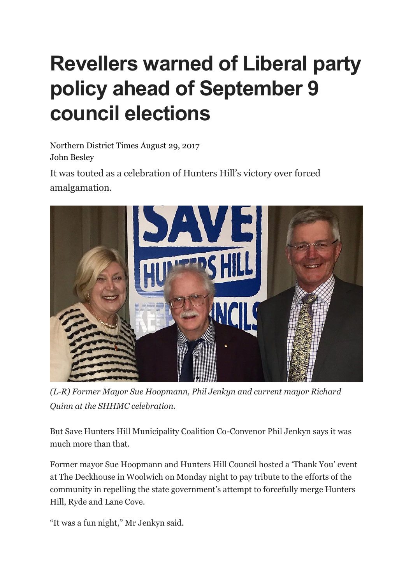## **Revellers warned of Liberal party policy ahead of September 9 council elections**

Northern District Times August 29, 2017 John Besley

It was touted as a celebration of Hunters Hill's victory over forced amalgamation.



*(L-R) Former Mayor Sue Hoopmann, Phil Jenkyn and current mayor Richard Quinn at the SHHMC celebration.*

But Save Hunters Hill Municipality Coalition Co-Convenor Phil Jenkyn says it was much more than that.

Former mayor Sue Hoopmann and Hunters Hill Council hosted a 'Thank You' event at The Deckhouse in Woolwich on Monday night to pay tribute to the efforts of the community in repelling the state government's attempt to forcefully merge Hunters Hill, Ryde and Lane Cove.

"It was a fun night," Mr Jenkyn said.